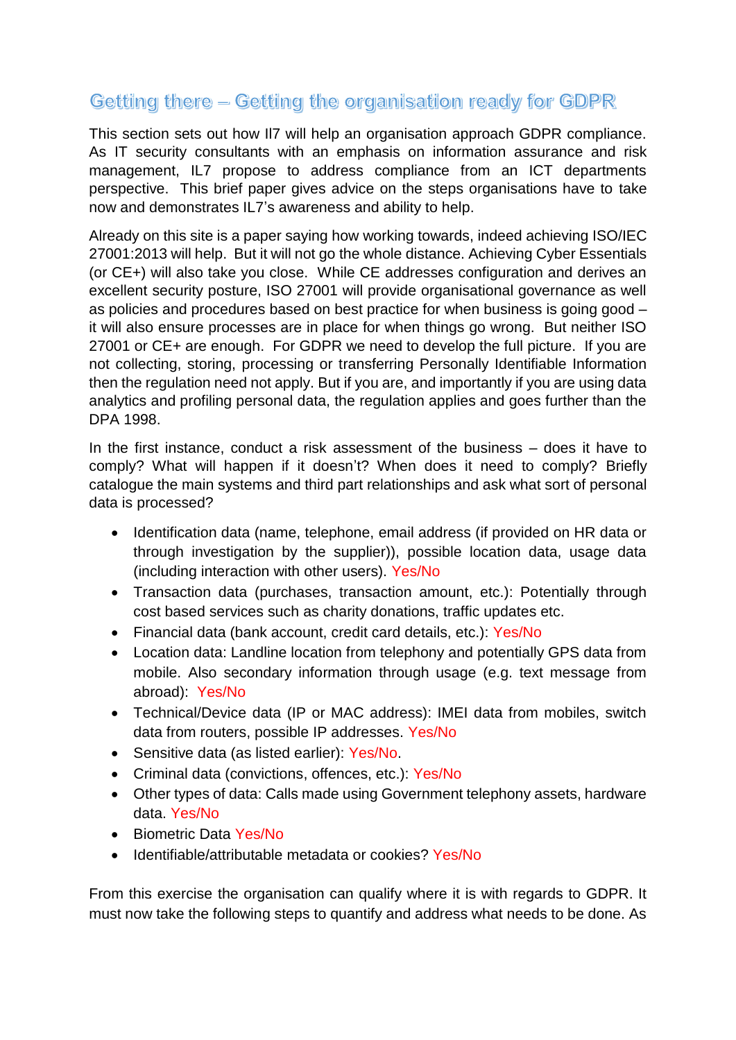## Getting there - Getting the organisation ready for GDPR

This section sets out how Il7 will help an organisation approach GDPR compliance. As IT security consultants with an emphasis on information assurance and risk management, IL7 propose to address compliance from an ICT departments perspective. This brief paper gives advice on the steps organisations have to take now and demonstrates IL7's awareness and ability to help.

Already on this site is a paper saying how working towards, indeed achieving ISO/IEC 27001:2013 will help. But it will not go the whole distance. Achieving Cyber Essentials (or CE+) will also take you close. While CE addresses configuration and derives an excellent security posture, ISO 27001 will provide organisational governance as well as policies and procedures based on best practice for when business is going good – it will also ensure processes are in place for when things go wrong. But neither ISO 27001 or CE+ are enough. For GDPR we need to develop the full picture. If you are not collecting, storing, processing or transferring Personally Identifiable Information then the regulation need not apply. But if you are, and importantly if you are using data analytics and profiling personal data, the regulation applies and goes further than the DPA 1998.

In the first instance, conduct a risk assessment of the business – does it have to comply? What will happen if it doesn't? When does it need to comply? Briefly catalogue the main systems and third part relationships and ask what sort of personal data is processed?

- Identification data (name, telephone, email address (if provided on HR data or through investigation by the supplier)), possible location data, usage data (including interaction with other users). Yes/No
- Transaction data (purchases, transaction amount, etc.): Potentially through cost based services such as charity donations, traffic updates etc.
- Financial data (bank account, credit card details, etc.): Yes/No
- Location data: Landline location from telephony and potentially GPS data from mobile. Also secondary information through usage (e.g. text message from abroad): Yes/No
- Technical/Device data (IP or MAC address): IMEI data from mobiles, switch data from routers, possible IP addresses. Yes/No
- Sensitive data (as listed earlier): Yes/No.
- Criminal data (convictions, offences, etc.): Yes/No
- Other types of data: Calls made using Government telephony assets, hardware data. Yes/No
- Biometric Data Yes/No
- Identifiable/attributable metadata or cookies? Yes/No

From this exercise the organisation can qualify where it is with regards to GDPR. It must now take the following steps to quantify and address what needs to be done. As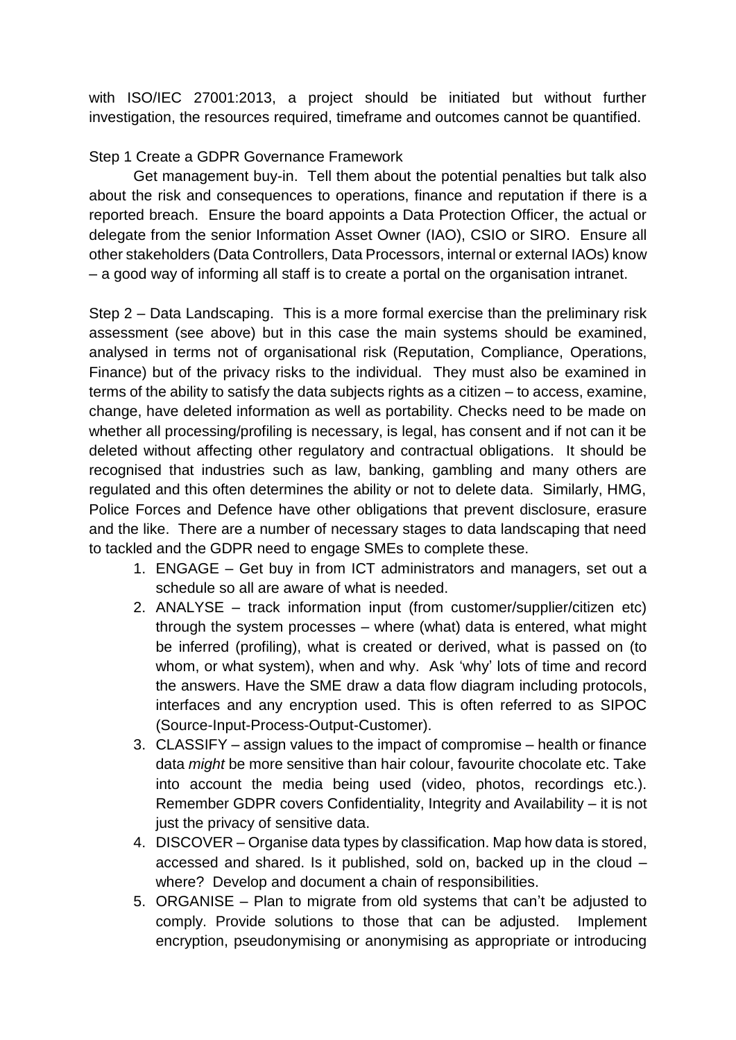with ISO/IEC 27001:2013, a project should be initiated but without further investigation, the resources required, timeframe and outcomes cannot be quantified.

Step 1 Create a GDPR Governance Framework

Get management buy-in. Tell them about the potential penalties but talk also about the risk and consequences to operations, finance and reputation if there is a reported breach. Ensure the board appoints a Data Protection Officer, the actual or delegate from the senior Information Asset Owner (IAO), CSIO or SIRO. Ensure all other stakeholders (Data Controllers, Data Processors, internal or external IAOs) know – a good way of informing all staff is to create a portal on the organisation intranet.

Step 2 – Data Landscaping. This is a more formal exercise than the preliminary risk assessment (see above) but in this case the main systems should be examined, analysed in terms not of organisational risk (Reputation, Compliance, Operations, Finance) but of the privacy risks to the individual. They must also be examined in terms of the ability to satisfy the data subjects rights as a citizen – to access, examine, change, have deleted information as well as portability. Checks need to be made on whether all processing/profiling is necessary, is legal, has consent and if not can it be deleted without affecting other regulatory and contractual obligations. It should be recognised that industries such as law, banking, gambling and many others are regulated and this often determines the ability or not to delete data. Similarly, HMG, Police Forces and Defence have other obligations that prevent disclosure, erasure and the like. There are a number of necessary stages to data landscaping that need to tackled and the GDPR need to engage SMEs to complete these.

- 1. ENGAGE Get buy in from ICT administrators and managers, set out a schedule so all are aware of what is needed.
- 2. ANALYSE track information input (from customer/supplier/citizen etc) through the system processes – where (what) data is entered, what might be inferred (profiling), what is created or derived, what is passed on (to whom, or what system), when and why. Ask 'why' lots of time and record the answers. Have the SME draw a data flow diagram including protocols, interfaces and any encryption used. This is often referred to as SIPOC (Source-Input-Process-Output-Customer).
- 3. CLASSIFY assign values to the impact of compromise health or finance data *might* be more sensitive than hair colour, favourite chocolate etc. Take into account the media being used (video, photos, recordings etc.). Remember GDPR covers Confidentiality, Integrity and Availability – it is not just the privacy of sensitive data.
- 4. DISCOVER Organise data types by classification. Map how data is stored, accessed and shared. Is it published, sold on, backed up in the cloud – where? Develop and document a chain of responsibilities.
- 5. ORGANISE Plan to migrate from old systems that can't be adjusted to comply. Provide solutions to those that can be adjusted. Implement encryption, pseudonymising or anonymising as appropriate or introducing